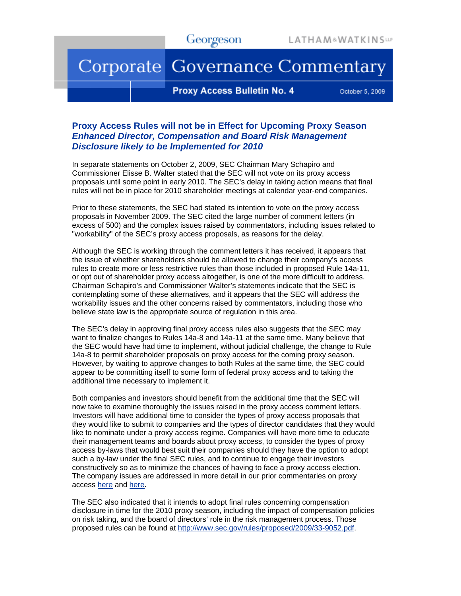## Corporate Governance Commentary

**Proxy Access Bulletin No. 4** 

October 5, 2009

## **Proxy Access Rules will not be in Effect for Upcoming Proxy Season**  *Enhanced Director, Compensation and Board Risk Management Disclosure likely to be Implemented for 2010*

In separate statements on October 2, 2009, SEC Chairman Mary Schapiro and Commissioner Elisse B. Walter stated that the SEC will not vote on its proxy access proposals until some point in early 2010. The SEC's delay in taking action means that final rules will not be in place for 2010 shareholder meetings at calendar year-end companies.

Prior to these statements, the SEC had stated its intention to vote on the proxy access proposals in November 2009. The SEC cited the large number of comment letters (in excess of 500) and the complex issues raised by commentators, including issues related to "workability" of the SEC's proxy access proposals, as reasons for the delay.

Although the SEC is working through the comment letters it has received, it appears that the issue of whether shareholders should be allowed to change their company's access rules to create more or less restrictive rules than those included in proposed Rule 14a-11, or opt out of shareholder proxy access altogether, is one of the more difficult to address. Chairman Schapiro's and Commissioner Walter's statements indicate that the SEC is contemplating some of these alternatives, and it appears that the SEC will address the workability issues and the other concerns raised by commentators, including those who believe state law is the appropriate source of regulation in this area.

The SEC's delay in approving final proxy access rules also suggests that the SEC may want to finalize changes to Rules 14a-8 and 14a-11 at the same time. Many believe that the SEC would have had time to implement, without judicial challenge, the change to Rule 14a-8 to permit shareholder proposals on proxy access for the coming proxy season. However, by waiting to approve changes to both Rules at the same time, the SEC could appear to be committing itself to some form of federal proxy access and to taking the additional time necessary to implement it.

Both companies and investors should benefit from the additional time that the SEC will now take to examine thoroughly the issues raised in the proxy access comment letters. Investors will have additional time to consider the types of proxy access proposals that they would like to submit to companies and the types of director candidates that they would like to nominate under a proxy access regime. Companies will have more time to educate their management teams and boards about proxy access, to consider the types of proxy access by-laws that would best suit their companies should they have the option to adopt such a by-law under the final SEC rules, and to continue to engage their investors constructively so as to minimize the chances of having to face a proxy access election. The company issues are addressed in more detail in our prior commentaries on proxy access [here](http://www.lw.com/AboutLatham.aspx?page=proxyAccess) and [here.](http://www.georgeson.com/usa/resources_research.php)

The SEC also indicated that it intends to adopt final rules concerning compensation disclosure in time for the 2010 proxy season, including the impact of compensation policies on risk taking, and the board of directors' role in the risk management process. Those proposed rules can be found at [http://www.sec.gov/rules/proposed/2009/33-9052.pdf.](http://www.sec.gov/rules/proposed/2009/33-9052.pdf)